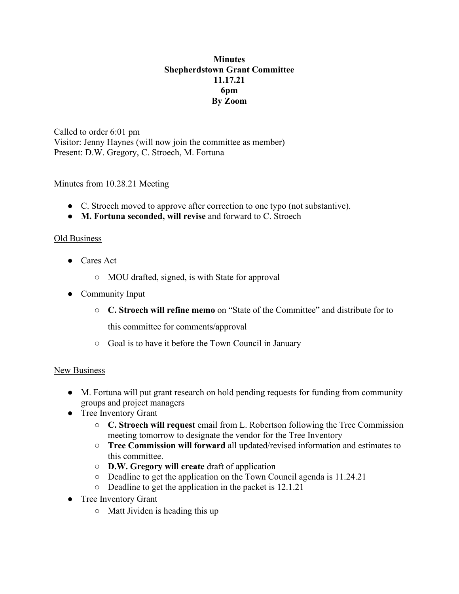# **Minutes Shepherdstown Grant Committee 11.17.21 6pm By Zoom**

Called to order 6:01 pm Visitor: Jenny Haynes (will now join the committee as member) Present: D.W. Gregory, C. Stroech, M. Fortuna

## Minutes from 10.28.21 Meeting

- C. Stroech moved to approve after correction to one typo (not substantive).
- **M. Fortuna seconded, will revise** and forward to C. Stroech

## Old Business

- Cares Act
	- MOU drafted, signed, is with State for approval
- Community Input
	- **C. Stroech will refine memo** on "State of the Committee" and distribute for to

this committee for comments/approval

○ Goal is to have it before the Town Council in January

#### New Business

- M. Fortuna will put grant research on hold pending requests for funding from community groups and project managers
- Tree Inventory Grant
	- **C. Stroech will request** email from L. Robertson following the Tree Commission meeting tomorrow to designate the vendor for the Tree Inventory
	- **Tree Commission will forward** all updated/revised information and estimates to this committee.
	- **D.W. Gregory will create** draft of application
	- Deadline to get the application on the Town Council agenda is 11.24.21
	- Deadline to get the application in the packet is 12.1.21
- Tree Inventory Grant
	- Matt Jividen is heading this up